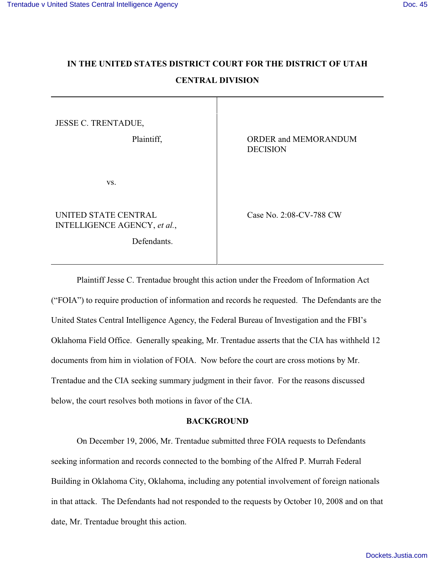# **IN THE UNITED STATES DISTRICT COURT FOR THE DISTRICT OF UTAH CENTRAL DIVISION**

JESSE C. TRENTADUE,

vs.

UNITED STATE CENTRAL INTELLIGENCE AGENCY, *et al.*,

Defendants.

Plaintiff,  $ORDER$  and MEMORANDUM DECISION

Case No. 2:08-CV-788 CW

Plaintiff Jesse C. Trentadue brought this action under the Freedom of Information Act ("FOIA") to require production of information and records he requested. The Defendants are the United States Central Intelligence Agency, the Federal Bureau of Investigation and the FBI's Oklahoma Field Office. Generally speaking, Mr. Trentadue asserts that the CIA has withheld 12 documents from him in violation of FOIA. Now before the court are cross motions by Mr. Trentadue and the CIA seeking summary judgment in their favor. For the reasons discussed below, the court resolves both motions in favor of the CIA.

## **BACKGROUND**

On December 19, 2006, Mr. Trentadue submitted three FOIA requests to Defendants seeking information and records connected to the bombing of the Alfred P. Murrah Federal Building in Oklahoma City, Oklahoma, including any potential involvement of foreign nationals in that attack. The Defendants had not responded to the requests by October 10, 2008 and on that date, Mr. Trentadue brought this action.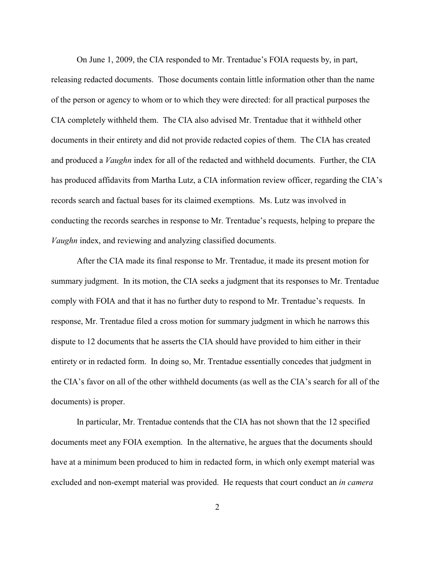On June 1, 2009, the CIA responded to Mr. Trentadue's FOIA requests by, in part, releasing redacted documents. Those documents contain little information other than the name of the person or agency to whom or to which they were directed: for all practical purposes the CIA completely withheld them. The CIA also advised Mr. Trentadue that it withheld other documents in their entirety and did not provide redacted copies of them. The CIA has created and produced a *Vaughn* index for all of the redacted and withheld documents. Further, the CIA has produced affidavits from Martha Lutz, a CIA information review officer, regarding the CIA's records search and factual bases for its claimed exemptions. Ms. Lutz was involved in conducting the records searches in response to Mr. Trentadue's requests, helping to prepare the *Vaughn* index, and reviewing and analyzing classified documents.

After the CIA made its final response to Mr. Trentadue, it made its present motion for summary judgment. In its motion, the CIA seeks a judgment that its responses to Mr. Trentadue comply with FOIA and that it has no further duty to respond to Mr. Trentadue's requests. In response, Mr. Trentadue filed a cross motion for summary judgment in which he narrows this dispute to 12 documents that he asserts the CIA should have provided to him either in their entirety or in redacted form. In doing so, Mr. Trentadue essentially concedes that judgment in the CIA's favor on all of the other withheld documents (as well as the CIA's search for all of the documents) is proper.

In particular, Mr. Trentadue contends that the CIA has not shown that the 12 specified documents meet any FOIA exemption. In the alternative, he argues that the documents should have at a minimum been produced to him in redacted form, in which only exempt material was excluded and non-exempt material was provided. He requests that court conduct an *in camera*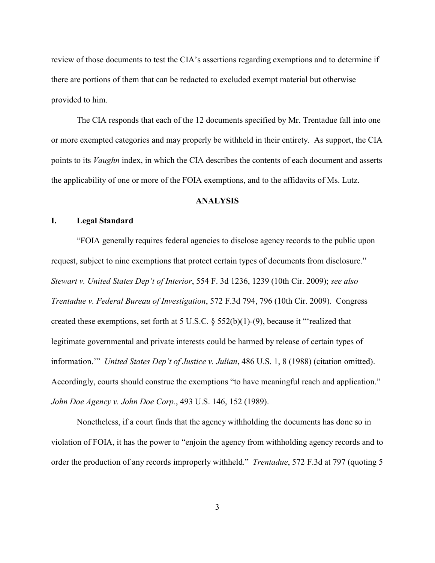review of those documents to test the CIA's assertions regarding exemptions and to determine if there are portions of them that can be redacted to excluded exempt material but otherwise provided to him.

The CIA responds that each of the 12 documents specified by Mr. Trentadue fall into one or more exempted categories and may properly be withheld in their entirety. As support, the CIA points to its *Vaughn* index, in which the CIA describes the contents of each document and asserts the applicability of one or more of the FOIA exemptions, and to the affidavits of Ms. Lutz.

## **ANALYSIS**

#### **I. Legal Standard**

"FOIA generally requires federal agencies to disclose agency records to the public upon request, subject to nine exemptions that protect certain types of documents from disclosure." *Stewart v. United States Dep't of Interior*, 554 F. 3d 1236, 1239 (10th Cir. 2009); *see also Trentadue v. Federal Bureau of Investigation*, 572 F.3d 794, 796 (10th Cir. 2009). Congress created these exemptions, set forth at 5 U.S.C. § 552(b)(1)-(9), because it "'realized that legitimate governmental and private interests could be harmed by release of certain types of information.'" *United States Dep't of Justice v. Julian*, 486 U.S. 1, 8 (1988) (citation omitted). Accordingly, courts should construe the exemptions "to have meaningful reach and application." *John Doe Agency v. John Doe Corp.*, 493 U.S. 146, 152 (1989).

Nonetheless, if a court finds that the agency withholding the documents has done so in violation of FOIA, it has the power to "enjoin the agency from withholding agency records and to order the production of any records improperly withheld." *Trentadue*, 572 F.3d at 797 (quoting 5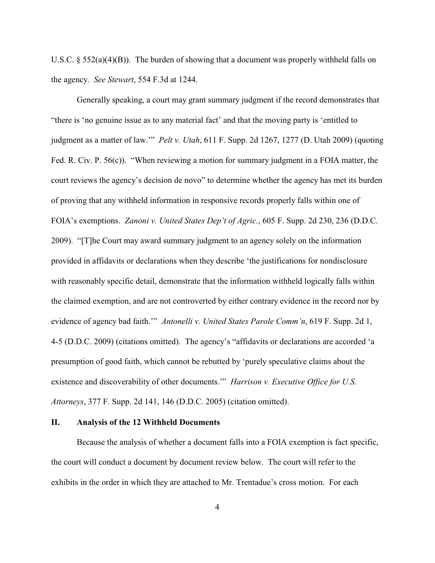U.S.C. § 552(a)(4)(B)). The burden of showing that a document was properly withheld falls on the agency. *See Stewart*, 554 F.3d at 1244.

Generally speaking, a court may grant summary judgment if the record demonstrates that "there is 'no genuine issue as to any material fact' and that the moving party is 'entitled to judgment as a matter of law.'" *Pelt v. Utah*, 611 F. Supp. 2d 1267, 1277 (D. Utah 2009) (quoting Fed. R. Civ. P. 56(c)). "When reviewing a motion for summary judgment in a FOIA matter, the court reviews the agency's decision de novo" to determine whether the agency has met its burden of proving that any withheld information in responsive records properly falls within one of FOIA's exemptions. *Zanoni v. United States Dep't of Agric.*, 605 F. Supp. 2d 230, 236 (D.D.C. 2009). "[T]he Court may award summary judgment to an agency solely on the information provided in affidavits or declarations when they describe 'the justifications for nondisclosure with reasonably specific detail, demonstrate that the information withheld logically falls within the claimed exemption, and are not controverted by either contrary evidence in the record nor by evidence of agency bad faith.'" *Antonelli v. United States Parole Comm'n*, 619 F. Supp. 2d 1, 4-5 (D.D.C. 2009) (citations omitted). The agency's "affidavits or declarations are accorded 'a presumption of good faith, which cannot be rebutted by 'purely speculative claims about the existence and discoverability of other documents.'" *Harrison v. Executive Office for U.S. Attorneys*, 377 F. Supp. 2d 141, 146 (D.D.C. 2005) (citation omitted).

## **II. Analysis of the 12 Withheld Documents**

Because the analysis of whether a document falls into a FOIA exemption is fact specific, the court will conduct a document by document review below. The court will refer to the exhibits in the order in which they are attached to Mr. Trentadue's cross motion. For each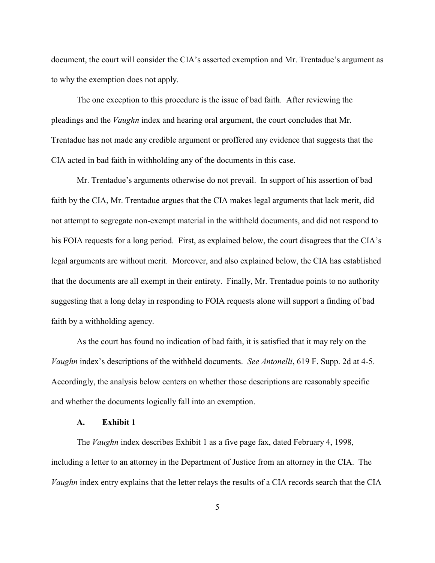document, the court will consider the CIA's asserted exemption and Mr. Trentadue's argument as to why the exemption does not apply.

The one exception to this procedure is the issue of bad faith. After reviewing the pleadings and the *Vaughn* index and hearing oral argument, the court concludes that Mr. Trentadue has not made any credible argument or proffered any evidence that suggests that the CIA acted in bad faith in withholding any of the documents in this case.

Mr. Trentadue's arguments otherwise do not prevail. In support of his assertion of bad faith by the CIA, Mr. Trentadue argues that the CIA makes legal arguments that lack merit, did not attempt to segregate non-exempt material in the withheld documents, and did not respond to his FOIA requests for a long period. First, as explained below, the court disagrees that the CIA's legal arguments are without merit. Moreover, and also explained below, the CIA has established that the documents are all exempt in their entirety. Finally, Mr. Trentadue points to no authority suggesting that a long delay in responding to FOIA requests alone will support a finding of bad faith by a withholding agency.

As the court has found no indication of bad faith, it is satisfied that it may rely on the *Vaughn* index's descriptions of the withheld documents. *See Antonelli*, 619 F. Supp. 2d at 4-5. Accordingly, the analysis below centers on whether those descriptions are reasonably specific and whether the documents logically fall into an exemption.

# **A. Exhibit 1**

The *Vaughn* index describes Exhibit 1 as a five page fax, dated February 4, 1998, including a letter to an attorney in the Department of Justice from an attorney in the CIA. The *Vaughn* index entry explains that the letter relays the results of a CIA records search that the CIA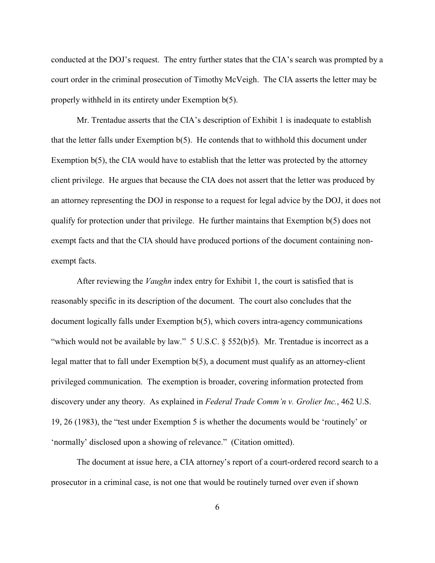conducted at the DOJ's request. The entry further states that the CIA's search was prompted by a court order in the criminal prosecution of Timothy McVeigh. The CIA asserts the letter may be properly withheld in its entirety under Exemption b(5).

Mr. Trentadue asserts that the CIA's description of Exhibit 1 is inadequate to establish that the letter falls under Exemption b(5). He contends that to withhold this document under Exemption  $b(5)$ , the CIA would have to establish that the letter was protected by the attorney client privilege. He argues that because the CIA does not assert that the letter was produced by an attorney representing the DOJ in response to a request for legal advice by the DOJ, it does not qualify for protection under that privilege. He further maintains that Exemption b(5) does not exempt facts and that the CIA should have produced portions of the document containing nonexempt facts.

After reviewing the *Vaughn* index entry for Exhibit 1, the court is satisfied that is reasonably specific in its description of the document. The court also concludes that the document logically falls under Exemption b(5), which covers intra-agency communications "which would not be available by law." 5 U.S.C. § 552(b)5). Mr. Trentadue is incorrect as a legal matter that to fall under Exemption b(5), a document must qualify as an attorney-client privileged communication. The exemption is broader, covering information protected from discovery under any theory. As explained in *Federal Trade Comm'n v. Grolier Inc.*, 462 U.S. 19, 26 (1983), the "test under Exemption 5 is whether the documents would be 'routinely' or 'normally' disclosed upon a showing of relevance." (Citation omitted).

The document at issue here, a CIA attorney's report of a court-ordered record search to a prosecutor in a criminal case, is not one that would be routinely turned over even if shown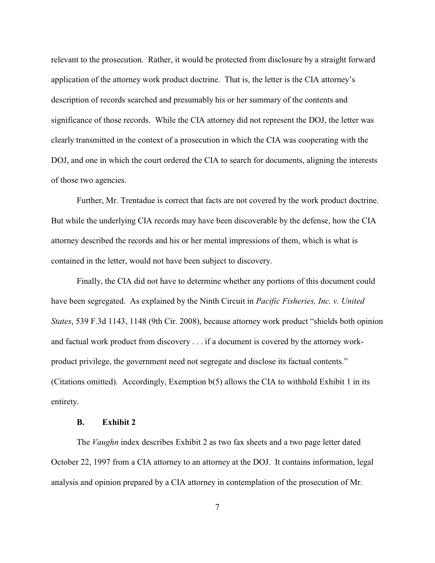relevant to the prosecution. Rather, it would be protected from disclosure by a straight forward application of the attorney work product doctrine. That is, the letter is the CIA attorney's description of records searched and presumably his or her summary of the contents and significance of those records. While the CIA attorney did not represent the DOJ, the letter was clearly transmitted in the context of a prosecution in which the CIA was cooperating with the DOJ, and one in which the court ordered the CIA to search for documents, aligning the interests of those two agencies.

Further, Mr. Trentadue is correct that facts are not covered by the work product doctrine. But while the underlying CIA records may have been discoverable by the defense, how the CIA attorney described the records and his or her mental impressions of them, which is what is contained in the letter, would not have been subject to discovery.

Finally, the CIA did not have to determine whether any portions of this document could have been segregated. As explained by the Ninth Circuit in *Pacific Fisheries, Inc. v. United States*, 539 F.3d 1143, 1148 (9th Cir. 2008), because attorney work product "shields both opinion and factual work product from discovery . . . if a document is covered by the attorney workproduct privilege, the government need not segregate and disclose its factual contents." (Citations omitted). Accordingly, Exemption b(5) allows the CIA to withhold Exhibit 1 in its entirety.

# **B. Exhibit 2**

The *Vaughn* index describes Exhibit 2 as two fax sheets and a two page letter dated October 22, 1997 from a CIA attorney to an attorney at the DOJ. It contains information, legal analysis and opinion prepared by a CIA attorney in contemplation of the prosecution of Mr.

7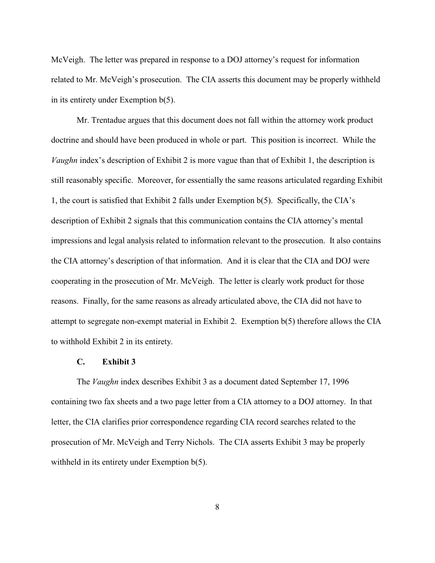McVeigh. The letter was prepared in response to a DOJ attorney's request for information related to Mr. McVeigh's prosecution. The CIA asserts this document may be properly withheld in its entirety under Exemption b(5).

Mr. Trentadue argues that this document does not fall within the attorney work product doctrine and should have been produced in whole or part. This position is incorrect. While the *Vaughn* index's description of Exhibit 2 is more vague than that of Exhibit 1, the description is still reasonably specific. Moreover, for essentially the same reasons articulated regarding Exhibit 1, the court is satisfied that Exhibit 2 falls under Exemption b(5). Specifically, the CIA's description of Exhibit 2 signals that this communication contains the CIA attorney's mental impressions and legal analysis related to information relevant to the prosecution. It also contains the CIA attorney's description of that information. And it is clear that the CIA and DOJ were cooperating in the prosecution of Mr. McVeigh. The letter is clearly work product for those reasons. Finally, for the same reasons as already articulated above, the CIA did not have to attempt to segregate non-exempt material in Exhibit 2. Exemption b(5) therefore allows the CIA to withhold Exhibit 2 in its entirety.

## **C. Exhibit 3**

The *Vaughn* index describes Exhibit 3 as a document dated September 17, 1996 containing two fax sheets and a two page letter from a CIA attorney to a DOJ attorney. In that letter, the CIA clarifies prior correspondence regarding CIA record searches related to the prosecution of Mr. McVeigh and Terry Nichols. The CIA asserts Exhibit 3 may be properly withheld in its entirety under Exemption b(5).

8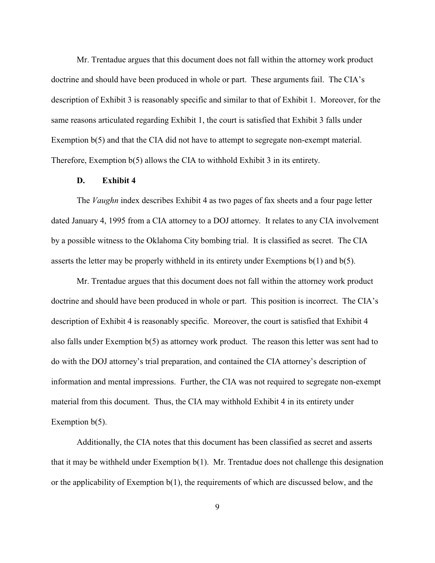Mr. Trentadue argues that this document does not fall within the attorney work product doctrine and should have been produced in whole or part. These arguments fail. The CIA's description of Exhibit 3 is reasonably specific and similar to that of Exhibit 1. Moreover, for the same reasons articulated regarding Exhibit 1, the court is satisfied that Exhibit 3 falls under Exemption  $b(5)$  and that the CIA did not have to attempt to segregate non-exempt material. Therefore, Exemption b(5) allows the CIA to withhold Exhibit 3 in its entirety.

### **D. Exhibit 4**

The *Vaughn* index describes Exhibit 4 as two pages of fax sheets and a four page letter dated January 4, 1995 from a CIA attorney to a DOJ attorney. It relates to any CIA involvement by a possible witness to the Oklahoma City bombing trial. It is classified as secret. The CIA asserts the letter may be properly withheld in its entirety under Exemptions  $b(1)$  and  $b(5)$ .

Mr. Trentadue argues that this document does not fall within the attorney work product doctrine and should have been produced in whole or part. This position is incorrect. The CIA's description of Exhibit 4 is reasonably specific. Moreover, the court is satisfied that Exhibit 4 also falls under Exemption b(5) as attorney work product. The reason this letter was sent had to do with the DOJ attorney's trial preparation, and contained the CIA attorney's description of information and mental impressions. Further, the CIA was not required to segregate non-exempt material from this document. Thus, the CIA may withhold Exhibit 4 in its entirety under Exemption  $b(5)$ .

Additionally, the CIA notes that this document has been classified as secret and asserts that it may be withheld under Exemption b(1). Mr. Trentadue does not challenge this designation or the applicability of Exemption b(1), the requirements of which are discussed below, and the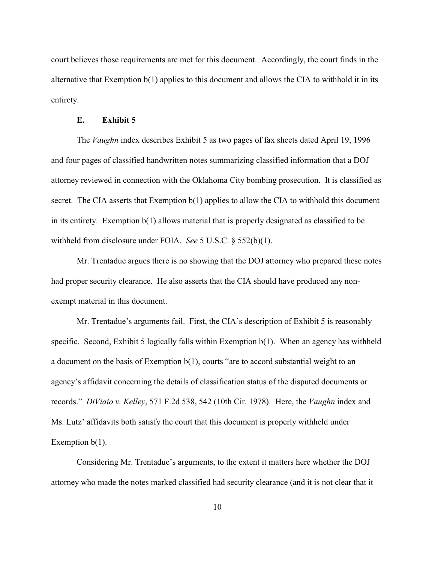court believes those requirements are met for this document. Accordingly, the court finds in the alternative that Exemption  $b(1)$  applies to this document and allows the CIA to withhold it in its entirety.

#### **E. Exhibit 5**

The *Vaughn* index describes Exhibit 5 as two pages of fax sheets dated April 19, 1996 and four pages of classified handwritten notes summarizing classified information that a DOJ attorney reviewed in connection with the Oklahoma City bombing prosecution. It is classified as secret. The CIA asserts that Exemption  $b(1)$  applies to allow the CIA to withhold this document in its entirety. Exemption b(1) allows material that is properly designated as classified to be withheld from disclosure under FOIA. *See* 5 U.S.C. § 552(b)(1).

Mr. Trentadue argues there is no showing that the DOJ attorney who prepared these notes had proper security clearance. He also asserts that the CIA should have produced any nonexempt material in this document.

Mr. Trentadue's arguments fail. First, the CIA's description of Exhibit 5 is reasonably specific. Second, Exhibit 5 logically falls within Exemption b(1). When an agency has withheld a document on the basis of Exemption b(1), courts "are to accord substantial weight to an agency's affidavit concerning the details of classification status of the disputed documents or records." *DiViaio v. Kelley*, 571 F.2d 538, 542 (10th Cir. 1978). Here, the *Vaughn* index and Ms. Lutz' affidavits both satisfy the court that this document is properly withheld under Exemption  $b(1)$ .

Considering Mr. Trentadue's arguments, to the extent it matters here whether the DOJ attorney who made the notes marked classified had security clearance (and it is not clear that it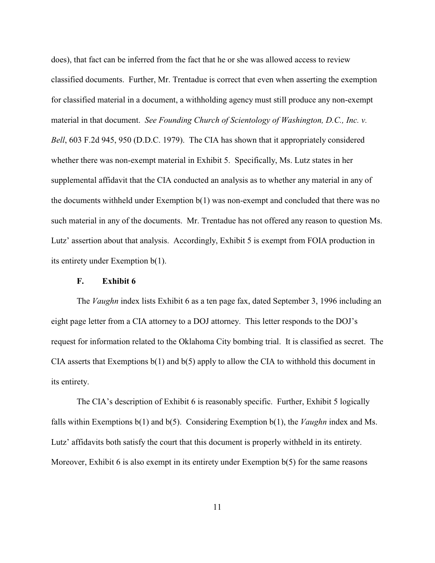does), that fact can be inferred from the fact that he or she was allowed access to review classified documents. Further, Mr. Trentadue is correct that even when asserting the exemption for classified material in a document, a withholding agency must still produce any non-exempt material in that document. *See Founding Church of Scientology of Washington, D.C., Inc. v. Bell*, 603 F.2d 945, 950 (D.D.C. 1979). The CIA has shown that it appropriately considered whether there was non-exempt material in Exhibit 5. Specifically, Ms. Lutz states in her supplemental affidavit that the CIA conducted an analysis as to whether any material in any of the documents withheld under Exemption b(1) was non-exempt and concluded that there was no such material in any of the documents. Mr. Trentadue has not offered any reason to question Ms. Lutz' assertion about that analysis. Accordingly, Exhibit 5 is exempt from FOIA production in its entirety under Exemption b(1).

## **F. Exhibit 6**

The *Vaughn* index lists Exhibit 6 as a ten page fax, dated September 3, 1996 including an eight page letter from a CIA attorney to a DOJ attorney. This letter responds to the DOJ's request for information related to the Oklahoma City bombing trial. It is classified as secret. The CIA asserts that Exemptions b(1) and b(5) apply to allow the CIA to withhold this document in its entirety.

The CIA's description of Exhibit 6 is reasonably specific. Further, Exhibit 5 logically falls within Exemptions b(1) and b(5). Considering Exemption b(1), the *Vaughn* index and Ms. Lutz' affidavits both satisfy the court that this document is properly withheld in its entirety. Moreover, Exhibit 6 is also exempt in its entirety under Exemption  $b(5)$  for the same reasons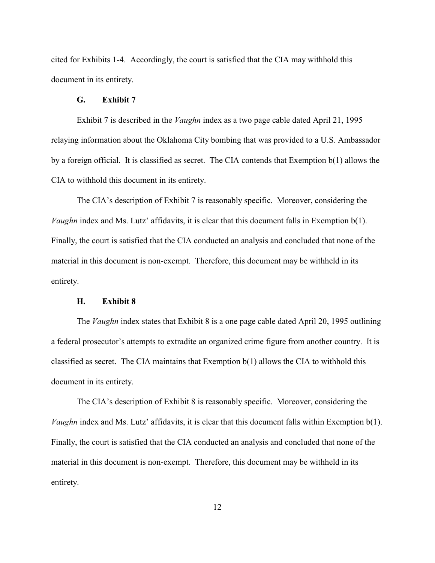cited for Exhibits 1-4. Accordingly, the court is satisfied that the CIA may withhold this document in its entirety.

#### **G. Exhibit 7**

Exhibit 7 is described in the *Vaughn* index as a two page cable dated April 21, 1995 relaying information about the Oklahoma City bombing that was provided to a U.S. Ambassador by a foreign official. It is classified as secret. The CIA contends that Exemption b(1) allows the CIA to withhold this document in its entirety.

The CIA's description of Exhibit 7 is reasonably specific. Moreover, considering the *Vaughn* index and Ms. Lutz' affidavits, it is clear that this document falls in Exemption b(1). Finally, the court is satisfied that the CIA conducted an analysis and concluded that none of the material in this document is non-exempt. Therefore, this document may be withheld in its entirety.

## **H. Exhibit 8**

The *Vaughn* index states that Exhibit 8 is a one page cable dated April 20, 1995 outlining a federal prosecutor's attempts to extradite an organized crime figure from another country. It is classified as secret. The CIA maintains that Exemption b(1) allows the CIA to withhold this document in its entirety.

The CIA's description of Exhibit 8 is reasonably specific. Moreover, considering the *Vaughn* index and Ms. Lutz' affidavits, it is clear that this document falls within Exemption b(1). Finally, the court is satisfied that the CIA conducted an analysis and concluded that none of the material in this document is non-exempt. Therefore, this document may be withheld in its entirety.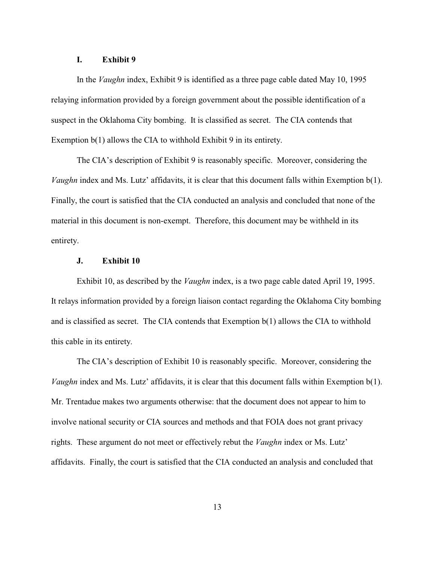## **I. Exhibit 9**

In the *Vaughn* index, Exhibit 9 is identified as a three page cable dated May 10, 1995 relaying information provided by a foreign government about the possible identification of a suspect in the Oklahoma City bombing. It is classified as secret. The CIA contends that Exemption  $b(1)$  allows the CIA to withhold Exhibit 9 in its entirety.

The CIA's description of Exhibit 9 is reasonably specific. Moreover, considering the *Vaughn* index and Ms. Lutz' affidavits, it is clear that this document falls within Exemption b(1). Finally, the court is satisfied that the CIA conducted an analysis and concluded that none of the material in this document is non-exempt. Therefore, this document may be withheld in its entirety.

#### **J. Exhibit 10**

Exhibit 10, as described by the *Vaughn* index, is a two page cable dated April 19, 1995. It relays information provided by a foreign liaison contact regarding the Oklahoma City bombing and is classified as secret. The CIA contends that Exemption b(1) allows the CIA to withhold this cable in its entirety.

The CIA's description of Exhibit 10 is reasonably specific. Moreover, considering the *Vaughn* index and Ms. Lutz' affidavits, it is clear that this document falls within Exemption b(1). Mr. Trentadue makes two arguments otherwise: that the document does not appear to him to involve national security or CIA sources and methods and that FOIA does not grant privacy rights. These argument do not meet or effectively rebut the *Vaughn* index or Ms. Lutz' affidavits. Finally, the court is satisfied that the CIA conducted an analysis and concluded that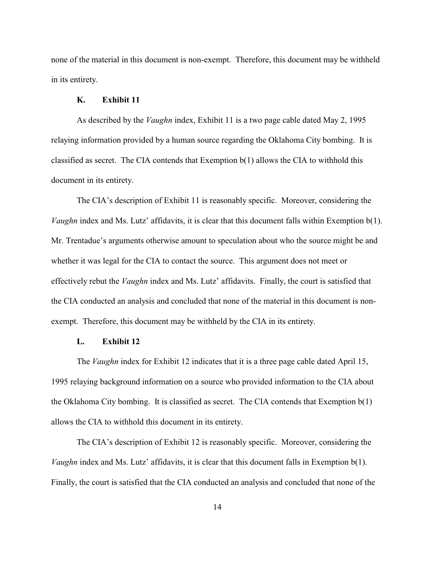none of the material in this document is non-exempt. Therefore, this document may be withheld in its entirety.

#### **K. Exhibit 11**

As described by the *Vaughn* index, Exhibit 11 is a two page cable dated May 2, 1995 relaying information provided by a human source regarding the Oklahoma City bombing. It is classified as secret. The CIA contends that Exemption b(1) allows the CIA to withhold this document in its entirety.

The CIA's description of Exhibit 11 is reasonably specific. Moreover, considering the *Vaughn* index and Ms. Lutz' affidavits, it is clear that this document falls within Exemption b(1). Mr. Trentadue's arguments otherwise amount to speculation about who the source might be and whether it was legal for the CIA to contact the source. This argument does not meet or effectively rebut the *Vaughn* index and Ms. Lutz' affidavits. Finally, the court is satisfied that the CIA conducted an analysis and concluded that none of the material in this document is nonexempt. Therefore, this document may be withheld by the CIA in its entirety.

### **L. Exhibit 12**

The *Vaughn* index for Exhibit 12 indicates that it is a three page cable dated April 15, 1995 relaying background information on a source who provided information to the CIA about the Oklahoma City bombing. It is classified as secret. The CIA contends that Exemption b(1) allows the CIA to withhold this document in its entirety.

The CIA's description of Exhibit 12 is reasonably specific. Moreover, considering the *Vaughn* index and Ms. Lutz' affidavits, it is clear that this document falls in Exemption b(1). Finally, the court is satisfied that the CIA conducted an analysis and concluded that none of the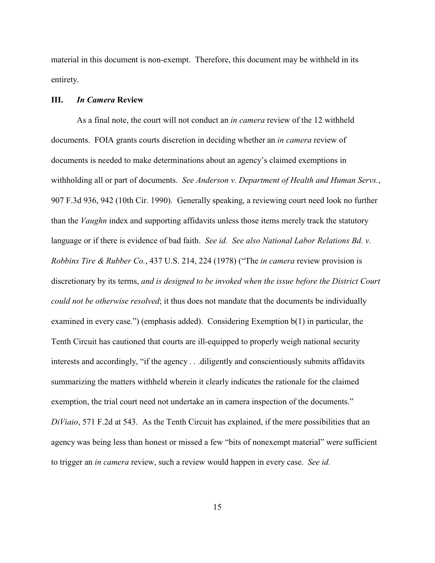material in this document is non-exempt. Therefore, this document may be withheld in its entirety.

#### **III.** *In Camera* **Review**

As a final note, the court will not conduct an *in camera* review of the 12 withheld documents. FOIA grants courts discretion in deciding whether an *in camera* review of documents is needed to make determinations about an agency's claimed exemptions in withholding all or part of documents. *See Anderson v. Department of Health and Human Servs.*, 907 F.3d 936, 942 (10th Cir. 1990). Generally speaking, a reviewing court need look no further than the *Vaughn* index and supporting affidavits unless those items merely track the statutory language or if there is evidence of bad faith. *See id. See also National Labor Relations Bd. v. Robbins Tire & Rubber Co.*, 437 U.S. 214, 224 (1978) ("The *in camera* review provision is discretionary by its terms, *and is designed to be invoked when the issue before the District Court could not be otherwise resolved*; it thus does not mandate that the documents be individually examined in every case.") (emphasis added). Considering Exemption b(1) in particular, the Tenth Circuit has cautioned that courts are ill-equipped to properly weigh national security interests and accordingly, "if the agency . . .diligently and conscientiously submits affidavits summarizing the matters withheld wherein it clearly indicates the rationale for the claimed exemption, the trial court need not undertake an in camera inspection of the documents." *DiViaio*, 571 F.2d at 543. As the Tenth Circuit has explained, if the mere possibilities that an agency was being less than honest or missed a few "bits of nonexempt material" were sufficient to trigger an *in camera* review, such a review would happen in every case. *See id.*